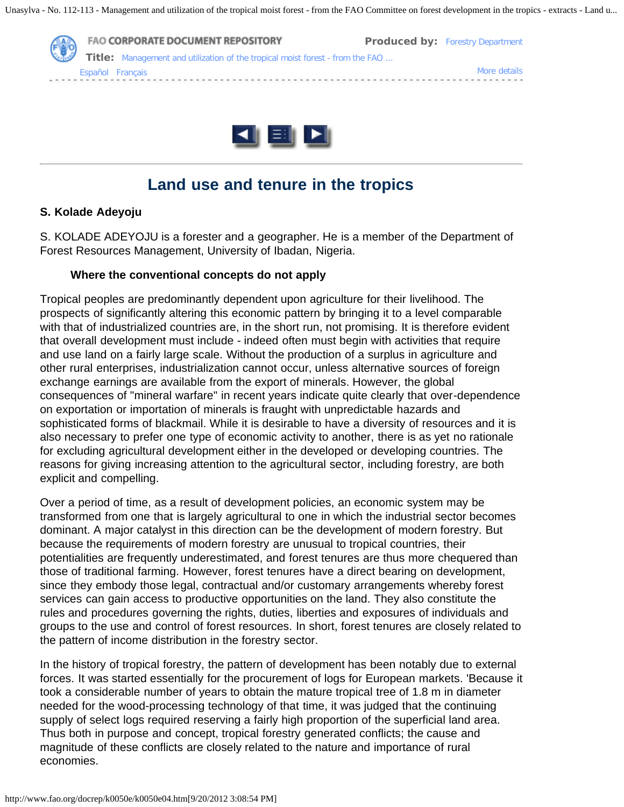



# **Land use and tenure in the tropics**

### **S. Kolade Adeyoju**

S. KOLADE ADEYOJU is a forester and a geographer. He is a member of the Department of Forest Resources Management, University of Ibadan, Nigeria.

#### **Where the conventional concepts do not apply**

Tropical peoples are predominantly dependent upon agriculture for their livelihood. The prospects of significantly altering this economic pattern by bringing it to a level comparable with that of industrialized countries are, in the short run, not promising. It is therefore evident that overall development must include - indeed often must begin with activities that require and use land on a fairly large scale. Without the production of a surplus in agriculture and other rural enterprises, industrialization cannot occur, unless alternative sources of foreign exchange earnings are available from the export of minerals. However, the global consequences of "mineral warfare" in recent years indicate quite clearly that over-dependence on exportation or importation of minerals is fraught with unpredictable hazards and sophisticated forms of blackmail. While it is desirable to have a diversity of resources and it is also necessary to prefer one type of economic activity to another, there is as yet no rationale for excluding agricultural development either in the developed or developing countries. The reasons for giving increasing attention to the agricultural sector, including forestry, are both explicit and compelling.

Over a period of time, as a result of development policies, an economic system may be transformed from one that is largely agricultural to one in which the industrial sector becomes dominant. A major catalyst in this direction can be the development of modern forestry. But because the requirements of modern forestry are unusual to tropical countries, their potentialities are frequently underestimated, and forest tenures are thus more chequered than those of traditional farming. However, forest tenures have a direct bearing on development, since they embody those legal, contractual and/or customary arrangements whereby forest services can gain access to productive opportunities on the land. They also constitute the rules and procedures governing the rights, duties, liberties and exposures of individuals and groups to the use and control of forest resources. In short, forest tenures are closely related to the pattern of income distribution in the forestry sector.

In the history of tropical forestry, the pattern of development has been notably due to external forces. It was started essentially for the procurement of logs for European markets. 'Because it took a considerable number of years to obtain the mature tropical tree of 1.8 m in diameter needed for the wood-processing technology of that time, it was judged that the continuing supply of select logs required reserving a fairly high proportion of the superficial land area. Thus both in purpose and concept, tropical forestry generated conflicts; the cause and magnitude of these conflicts are closely related to the nature and importance of rural economies.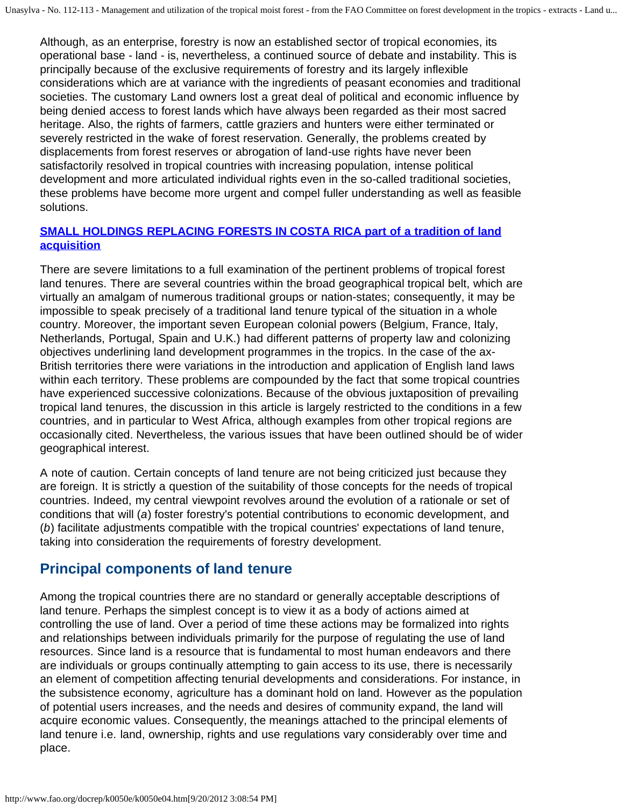Although, as an enterprise, forestry is now an established sector of tropical economies, its operational base - land - is, nevertheless, a continued source of debate and instability. This is principally because of the exclusive requirements of forestry and its largely inflexible considerations which are at variance with the ingredients of peasant economies and traditional societies. The customary Land owners lost a great deal of political and economic influence by being denied access to forest lands which have always been regarded as their most sacred heritage. Also, the rights of farmers, cattle graziers and hunters were either terminated or severely restricted in the wake of forest reservation. Generally, the problems created by displacements from forest reserves or abrogation of land-use rights have never been satisfactorily resolved in tropical countries with increasing population, intense political development and more articulated individual rights even in the so-called traditional societies, these problems have become more urgent and compel fuller understanding as well as feasible solutions.

### **[SMALL HOLDINGS REPLACING FORESTS IN COSTA RICA part of a tradition of land](http://www.fao.org/docrep/k0050e/k0050e08.jpg) [acquisition](http://www.fao.org/docrep/k0050e/k0050e08.jpg)**

There are severe limitations to a full examination of the pertinent problems of tropical forest land tenures. There are several countries within the broad geographical tropical belt, which are virtually an amalgam of numerous traditional groups or nation-states; consequently, it may be impossible to speak precisely of a traditional land tenure typical of the situation in a whole country. Moreover, the important seven European colonial powers (Belgium, France, Italy, Netherlands, Portugal, Spain and U.K.) had different patterns of property law and colonizing objectives underlining land development programmes in the tropics. In the case of the ax-British territories there were variations in the introduction and application of English land laws within each territory. These problems are compounded by the fact that some tropical countries have experienced successive colonizations. Because of the obvious juxtaposition of prevailing tropical land tenures, the discussion in this article is largely restricted to the conditions in a few countries, and in particular to West Africa, although examples from other tropical regions are occasionally cited. Nevertheless, the various issues that have been outlined should be of wider geographical interest.

A note of caution. Certain concepts of land tenure are not being criticized just because they are foreign. It is strictly a question of the suitability of those concepts for the needs of tropical countries. Indeed, my central viewpoint revolves around the evolution of a rationale or set of conditions that will (*a*) foster forestry's potential contributions to economic development, and (*b*) facilitate adjustments compatible with the tropical countries' expectations of land tenure, taking into consideration the requirements of forestry development.

### **Principal components of land tenure**

Among the tropical countries there are no standard or generally acceptable descriptions of land tenure. Perhaps the simplest concept is to view it as a body of actions aimed at controlling the use of land. Over a period of time these actions may be formalized into rights and relationships between individuals primarily for the purpose of regulating the use of land resources. Since land is a resource that is fundamental to most human endeavors and there are individuals or groups continually attempting to gain access to its use, there is necessarily an element of competition affecting tenurial developments and considerations. For instance, in the subsistence economy, agriculture has a dominant hold on land. However as the population of potential users increases, and the needs and desires of community expand, the land will acquire economic values. Consequently, the meanings attached to the principal elements of land tenure i.e. land, ownership, rights and use regulations vary considerably over time and place.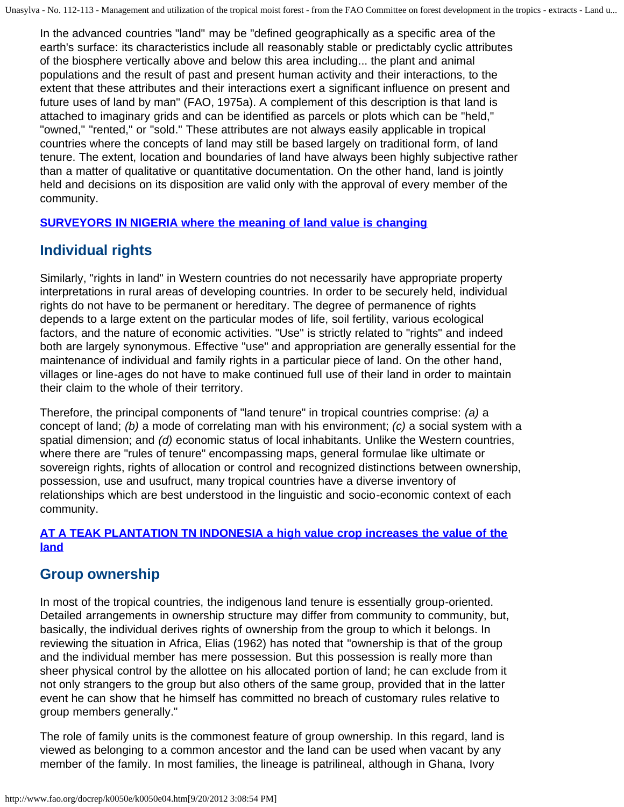In the advanced countries "land" may be "defined geographically as a specific area of the earth's surface: its characteristics include all reasonably stable or predictably cyclic attributes of the biosphere vertically above and below this area including... the plant and animal populations and the result of past and present human activity and their interactions, to the extent that these attributes and their interactions exert a significant influence on present and future uses of land by man" (FAO, 1975a). A complement of this description is that land is attached to imaginary grids and can be identified as parcels or plots which can be "held," "owned," "rented," or "sold." These attributes are not always easily applicable in tropical countries where the concepts of land may still be based largely on traditional form, of land tenure. The extent, location and boundaries of land have always been highly subjective rather than a matter of qualitative or quantitative documentation. On the other hand, land is jointly held and decisions on its disposition are valid only with the approval of every member of the community.

### **[SURVEYORS IN NIGERIA where the meaning of land value is changing](http://www.fao.org/docrep/k0050e/k0050e09.jpg)**

# **Individual rights**

Similarly, "rights in land" in Western countries do not necessarily have appropriate property interpretations in rural areas of developing countries. In order to be securely held, individual rights do not have to be permanent or hereditary. The degree of permanence of rights depends to a large extent on the particular modes of life, soil fertility, various ecological factors, and the nature of economic activities. "Use" is strictly related to "rights" and indeed both are largely synonymous. Effective "use" and appropriation are generally essential for the maintenance of individual and family rights in a particular piece of land. On the other hand, villages or line-ages do not have to make continued full use of their land in order to maintain their claim to the whole of their territory.

Therefore, the principal components of "land tenure" in tropical countries comprise: *(a)* a concept of land; *(b)* a mode of correlating man with his environment; *(c)* a social system with a spatial dimension; and *(d)* economic status of local inhabitants. Unlike the Western countries, where there are "rules of tenure" encompassing maps, general formulae like ultimate or sovereign rights, rights of allocation or control and recognized distinctions between ownership, possession, use and usufruct, many tropical countries have a diverse inventory of relationships which are best understood in the linguistic and socio-economic context of each community.

### **[AT A TEAK PLANTATION TN INDONESIA a high value crop increases the value of the](http://www.fao.org/docrep/k0050e/k0050e0a.jpg) [land](http://www.fao.org/docrep/k0050e/k0050e0a.jpg)**

# **Group ownership**

In most of the tropical countries, the indigenous land tenure is essentially group-oriented. Detailed arrangements in ownership structure may differ from community to community, but, basically, the individual derives rights of ownership from the group to which it belongs. In reviewing the situation in Africa, Elias (1962) has noted that "ownership is that of the group and the individual member has mere possession. But this possession is really more than sheer physical control by the allottee on his allocated portion of land; he can exclude from it not only strangers to the group but also others of the same group, provided that in the latter event he can show that he himself has committed no breach of customary rules relative to group members generally."

The role of family units is the commonest feature of group ownership. In this regard, land is viewed as belonging to a common ancestor and the land can be used when vacant by any member of the family. In most families, the lineage is patrilineal, although in Ghana, Ivory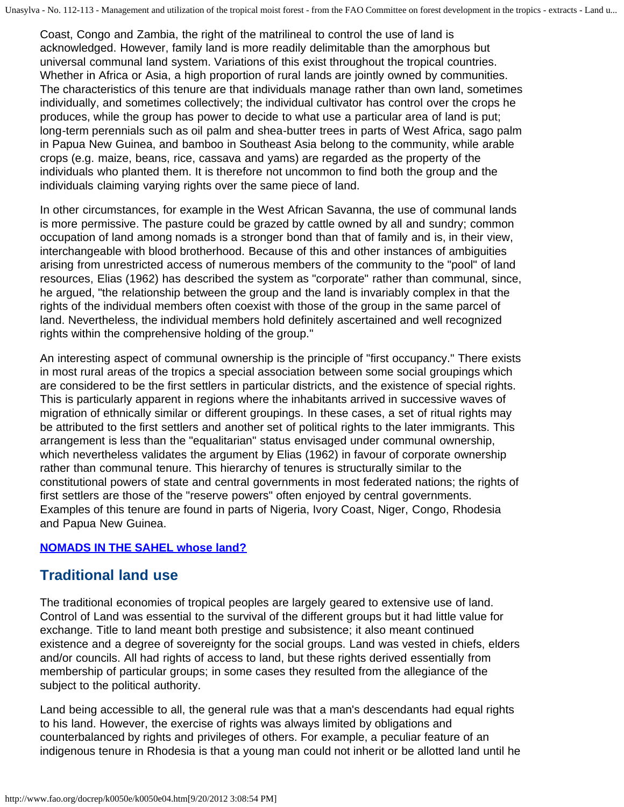Coast, Congo and Zambia, the right of the matrilineal to control the use of land is acknowledged. However, family land is more readily delimitable than the amorphous but universal communal land system. Variations of this exist throughout the tropical countries. Whether in Africa or Asia, a high proportion of rural lands are jointly owned by communities. The characteristics of this tenure are that individuals manage rather than own land, sometimes individually, and sometimes collectively; the individual cultivator has control over the crops he produces, while the group has power to decide to what use a particular area of land is put; long-term perennials such as oil palm and shea-butter trees in parts of West Africa, sago palm in Papua New Guinea, and bamboo in Southeast Asia belong to the community, while arable crops (e.g. maize, beans, rice, cassava and yams) are regarded as the property of the individuals who planted them. It is therefore not uncommon to find both the group and the individuals claiming varying rights over the same piece of land.

In other circumstances, for example in the West African Savanna, the use of communal lands is more permissive. The pasture could be grazed by cattle owned by all and sundry; common occupation of land among nomads is a stronger bond than that of family and is, in their view, interchangeable with blood brotherhood. Because of this and other instances of ambiguities arising from unrestricted access of numerous members of the community to the "pool" of land resources, Elias (1962) has described the system as "corporate" rather than communal, since, he argued, "the relationship between the group and the land is invariably complex in that the rights of the individual members often coexist with those of the group in the same parcel of land. Nevertheless, the individual members hold definitely ascertained and well recognized rights within the comprehensive holding of the group."

An interesting aspect of communal ownership is the principle of "first occupancy." There exists in most rural areas of the tropics a special association between some social groupings which are considered to be the first settlers in particular districts, and the existence of special rights. This is particularly apparent in regions where the inhabitants arrived in successive waves of migration of ethnically similar or different groupings. In these cases, a set of ritual rights may be attributed to the first settlers and another set of political rights to the later immigrants. This arrangement is less than the "equalitarian" status envisaged under communal ownership, which nevertheless validates the argument by Elias (1962) in favour of corporate ownership rather than communal tenure. This hierarchy of tenures is structurally similar to the constitutional powers of state and central governments in most federated nations; the rights of first settlers are those of the "reserve powers" often enjoyed by central governments. Examples of this tenure are found in parts of Nigeria, Ivory Coast, Niger, Congo, Rhodesia and Papua New Guinea.

### **[NOMADS IN THE SAHEL whose land?](http://www.fao.org/docrep/k0050e/k0050e0b.jpg)**

### **Traditional land use**

The traditional economies of tropical peoples are largely geared to extensive use of land. Control of Land was essential to the survival of the different groups but it had little value for exchange. Title to land meant both prestige and subsistence; it also meant continued existence and a degree of sovereignty for the social groups. Land was vested in chiefs, elders and/or councils. All had rights of access to land, but these rights derived essentially from membership of particular groups; in some cases they resulted from the allegiance of the subject to the political authority.

Land being accessible to all, the general rule was that a man's descendants had equal rights to his land. However, the exercise of rights was always limited by obligations and counterbalanced by rights and privileges of others. For example, a peculiar feature of an indigenous tenure in Rhodesia is that a young man could not inherit or be allotted land until he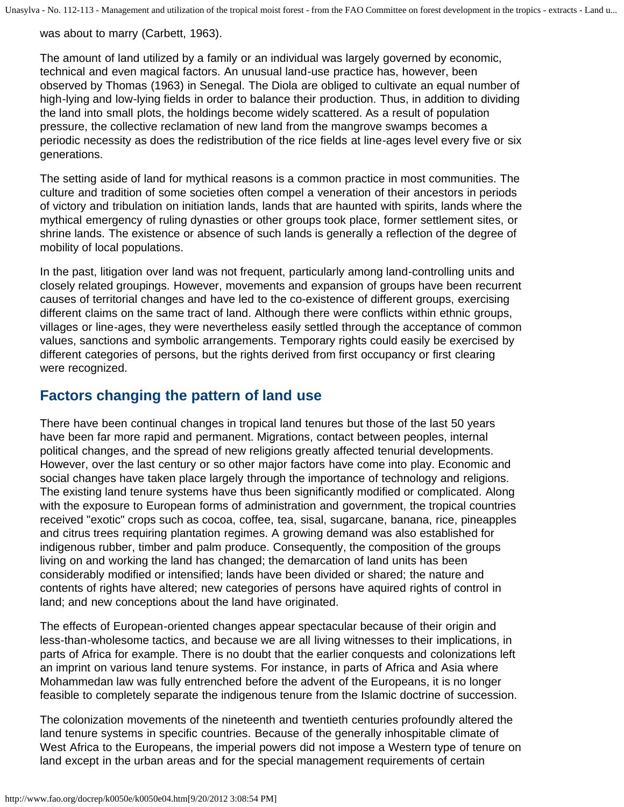was about to marry (Carbett, 1963).

The amount of land utilized by a family or an individual was largely governed by economic, technical and even magical factors. An unusual land-use practice has, however, been observed by Thomas (1963) in Senegal. The Diola are obliged to cultivate an equal number of high-lying and low-lying fields in order to balance their production. Thus, in addition to dividing the land into small plots, the holdings become widely scattered. As a result of population pressure, the collective reclamation of new land from the mangrove swamps becomes a periodic necessity as does the redistribution of the rice fields at line-ages level every five or six generations.

The setting aside of land for mythical reasons is a common practice in most communities. The culture and tradition of some societies often compel a veneration of their ancestors in periods of victory and tribulation on initiation lands, lands that are haunted with spirits, lands where the mythical emergency of ruling dynasties or other groups took place, former settlement sites, or shrine lands. The existence or absence of such lands is generally a reflection of the degree of mobility of local populations.

In the past, litigation over land was not frequent, particularly among land-controlling units and closely related groupings. However, movements and expansion of groups have been recurrent causes of territorial changes and have led to the co-existence of different groups, exercising different claims on the same tract of land. Although there were conflicts within ethnic groups, villages or line-ages, they were nevertheless easily settled through the acceptance of common values, sanctions and symbolic arrangements. Temporary rights could easily be exercised by different categories of persons, but the rights derived from first occupancy or first clearing were recognized.

# **Factors changing the pattern of land use**

There have been continual changes in tropical land tenures but those of the last 50 years have been far more rapid and permanent. Migrations, contact between peoples, internal political changes, and the spread of new religions greatly affected tenurial developments. However, over the last century or so other major factors have come into play. Economic and social changes have taken place largely through the importance of technology and religions. The existing land tenure systems have thus been significantly modified or complicated. Along with the exposure to European forms of administration and government, the tropical countries received "exotic" crops such as cocoa, coffee, tea, sisal, sugarcane, banana, rice, pineapples and citrus trees requiring plantation regimes. A growing demand was also established for indigenous rubber, timber and palm produce. Consequently, the composition of the groups living on and working the land has changed; the demarcation of land units has been considerably modified or intensified; lands have been divided or shared; the nature and contents of rights have altered; new categories of persons have aquired rights of control in land; and new conceptions about the land have originated.

The effects of European-oriented changes appear spectacular because of their origin and less-than-wholesome tactics, and because we are all living witnesses to their implications, in parts of Africa for example. There is no doubt that the earlier conquests and colonizations left an imprint on various land tenure systems. For instance, in parts of Africa and Asia where Mohammedan law was fully entrenched before the advent of the Europeans, it is no longer feasible to completely separate the indigenous tenure from the Islamic doctrine of succession.

The colonization movements of the nineteenth and twentieth centuries profoundly altered the land tenure systems in specific countries. Because of the generally inhospitable climate of West Africa to the Europeans, the imperial powers did not impose a Western type of tenure on land except in the urban areas and for the special management requirements of certain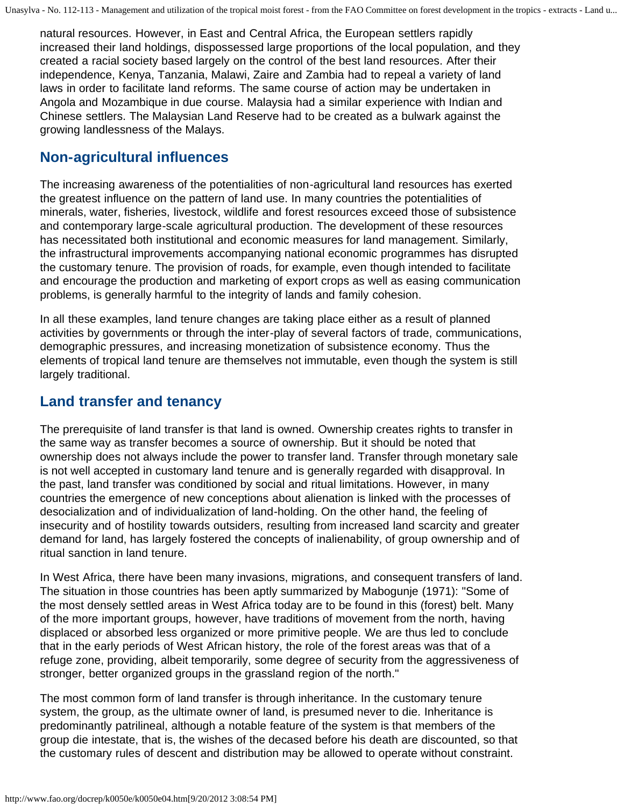natural resources. However, in East and Central Africa, the European settlers rapidly increased their land holdings, dispossessed large proportions of the local population, and they created a racial society based largely on the control of the best land resources. After their independence, Kenya, Tanzania, Malawi, Zaire and Zambia had to repeal a variety of land laws in order to facilitate land reforms. The same course of action may be undertaken in Angola and Mozambique in due course. Malaysia had a similar experience with Indian and Chinese settlers. The Malaysian Land Reserve had to be created as a bulwark against the growing landlessness of the Malays.

### **Non-agricultural influences**

The increasing awareness of the potentialities of non-agricultural land resources has exerted the greatest influence on the pattern of land use. In many countries the potentialities of minerals, water, fisheries, livestock, wildlife and forest resources exceed those of subsistence and contemporary large-scale agricultural production. The development of these resources has necessitated both institutional and economic measures for land management. Similarly, the infrastructural improvements accompanying national economic programmes has disrupted the customary tenure. The provision of roads, for example, even though intended to facilitate and encourage the production and marketing of export crops as well as easing communication problems, is generally harmful to the integrity of lands and family cohesion.

In all these examples, land tenure changes are taking place either as a result of planned activities by governments or through the inter-play of several factors of trade, communications, demographic pressures, and increasing monetization of subsistence economy. Thus the elements of tropical land tenure are themselves not immutable, even though the system is still largely traditional.

# **Land transfer and tenancy**

The prerequisite of land transfer is that land is owned. Ownership creates rights to transfer in the same way as transfer becomes a source of ownership. But it should be noted that ownership does not always include the power to transfer land. Transfer through monetary sale is not well accepted in customary land tenure and is generally regarded with disapproval. In the past, land transfer was conditioned by social and ritual limitations. However, in many countries the emergence of new conceptions about alienation is linked with the processes of desocialization and of individualization of land-holding. On the other hand, the feeling of insecurity and of hostility towards outsiders, resulting from increased land scarcity and greater demand for land, has largely fostered the concepts of inalienability, of group ownership and of ritual sanction in land tenure.

In West Africa, there have been many invasions, migrations, and consequent transfers of land. The situation in those countries has been aptly summarized by Mabogunje (1971): "Some of the most densely settled areas in West Africa today are to be found in this (forest) belt. Many of the more important groups, however, have traditions of movement from the north, having displaced or absorbed less organized or more primitive people. We are thus led to conclude that in the early periods of West African history, the role of the forest areas was that of a refuge zone, providing, albeit temporarily, some degree of security from the aggressiveness of stronger, better organized groups in the grassland region of the north."

The most common form of land transfer is through inheritance. In the customary tenure system, the group, as the ultimate owner of land, is presumed never to die. Inheritance is predominantly patrilineal, although a notable feature of the system is that members of the group die intestate, that is, the wishes of the decased before his death are discounted, so that the customary rules of descent and distribution may be allowed to operate without constraint.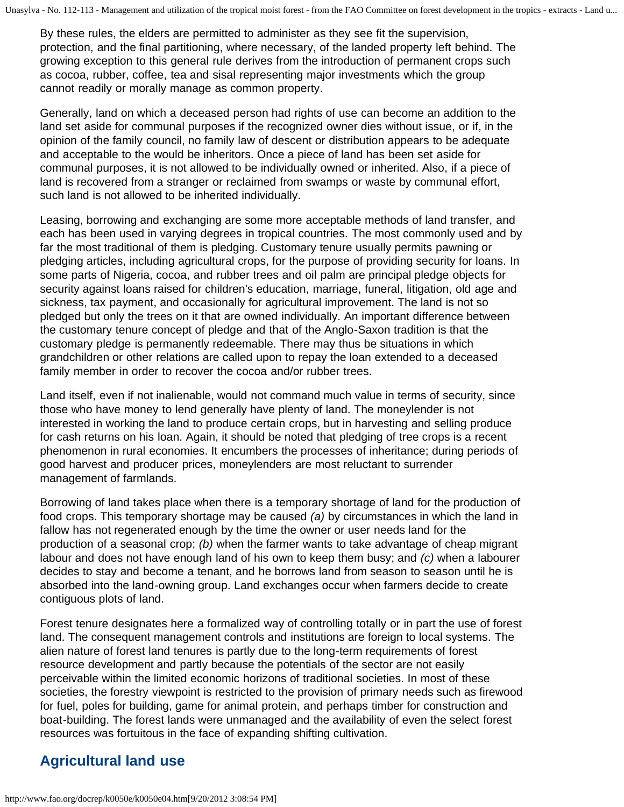By these rules, the elders are permitted to administer as they see fit the supervision, protection, and the final partitioning, where necessary, of the landed property left behind. The growing exception to this general rule derives from the introduction of permanent crops such as cocoa, rubber, coffee, tea and sisal representing major investments which the group cannot readily or morally manage as common property.

Generally, land on which a deceased person had rights of use can become an addition to the land set aside for communal purposes if the recognized owner dies without issue, or if, in the opinion of the family council, no family law of descent or distribution appears to be adequate and acceptable to the would be inheritors. Once a piece of land has been set aside for communal purposes, it is not allowed to be individually owned or inherited. Also, if a piece of land is recovered from a stranger or reclaimed from swamps or waste by communal effort, such land is not allowed to be inherited individually.

Leasing, borrowing and exchanging are some more acceptable methods of land transfer, and each has been used in varying degrees in tropical countries. The most commonly used and by far the most traditional of them is pledging. Customary tenure usually permits pawning or pledging articles, including agricultural crops, for the purpose of providing security for loans. In some parts of Nigeria, cocoa, and rubber trees and oil palm are principal pledge objects for security against loans raised for children's education, marriage, funeral, litigation, old age and sickness, tax payment, and occasionally for agricultural improvement. The land is not so pledged but only the trees on it that are owned individually. An important difference between the customary tenure concept of pledge and that of the Anglo-Saxon tradition is that the customary pledge is permanently redeemable. There may thus be situations in which grandchildren or other relations are called upon to repay the loan extended to a deceased family member in order to recover the cocoa and/or rubber trees.

Land itself, even if not inalienable, would not command much value in terms of security, since those who have money to lend generally have plenty of land. The moneylender is not interested in working the land to produce certain crops, but in harvesting and selling produce for cash returns on his loan. Again, it should be noted that pledging of tree crops is a recent phenomenon in rural economies. It encumbers the processes of inheritance; during periods of good harvest and producer prices, moneylenders are most reluctant to surrender management of farmlands.

Borrowing of land takes place when there is a temporary shortage of land for the production of food crops. This temporary shortage may be caused *(a)* by circumstances in which the land in fallow has not regenerated enough by the time the owner or user needs land for the production of a seasonal crop; *(b)* when the farmer wants to take advantage of cheap migrant labour and does not have enough land of his own to keep them busy; and *(c)* when a labourer decides to stay and become a tenant, and he borrows land from season to season until he is absorbed into the land-owning group. Land exchanges occur when farmers decide to create contiguous plots of land.

Forest tenure designates here a formalized way of controlling totally or in part the use of forest land. The consequent management controls and institutions are foreign to local systems. The alien nature of forest land tenures is partly due to the long-term requirements of forest resource development and partly because the potentials of the sector are not easily perceivable within the limited economic horizons of traditional societies. In most of these societies, the forestry viewpoint is restricted to the provision of primary needs such as firewood for fuel, poles for building, game for animal protein, and perhaps timber for construction and boat-building. The forest lands were unmanaged and the availability of even the select forest resources was fortuitous in the face of expanding shifting cultivation.

# **Agricultural land use**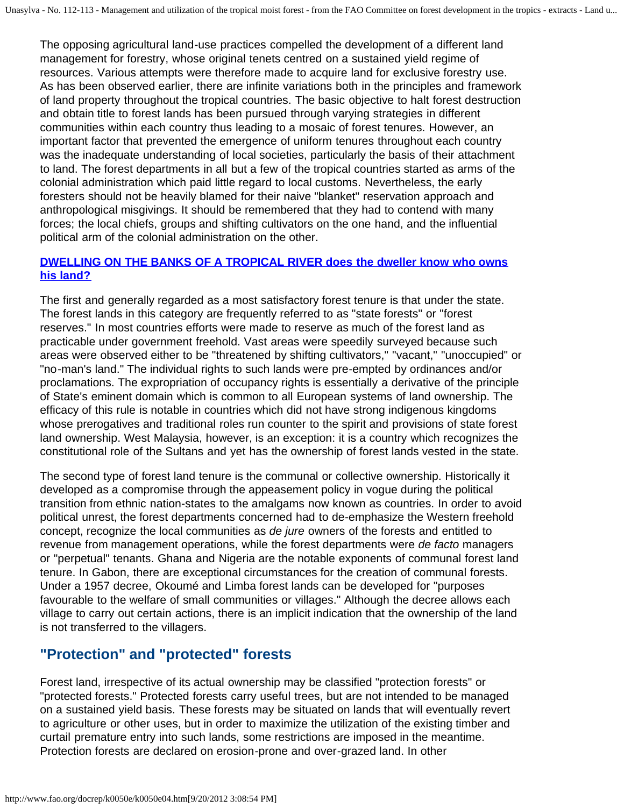The opposing agricultural land-use practices compelled the development of a different land management for forestry, whose original tenets centred on a sustained yield regime of resources. Various attempts were therefore made to acquire land for exclusive forestry use. As has been observed earlier, there are infinite variations both in the principles and framework of land property throughout the tropical countries. The basic objective to halt forest destruction and obtain title to forest lands has been pursued through varying strategies in different communities within each country thus leading to a mosaic of forest tenures. However, an important factor that prevented the emergence of uniform tenures throughout each country was the inadequate understanding of local societies, particularly the basis of their attachment to land. The forest departments in all but a few of the tropical countries started as arms of the colonial administration which paid little regard to local customs. Nevertheless, the early foresters should not be heavily blamed for their naive "blanket" reservation approach and anthropological misgivings. It should be remembered that they had to contend with many forces; the local chiefs, groups and shifting cultivators on the one hand, and the influential political arm of the colonial administration on the other.

#### **[DWELLING ON THE BANKS OF A TROPICAL RIVER does the dweller know who owns](http://www.fao.org/docrep/k0050e/k0050e0c.jpg) [his land?](http://www.fao.org/docrep/k0050e/k0050e0c.jpg)**

The first and generally regarded as a most satisfactory forest tenure is that under the state. The forest lands in this category are frequently referred to as "state forests" or "forest reserves." In most countries efforts were made to reserve as much of the forest land as practicable under government freehold. Vast areas were speedily surveyed because such areas were observed either to be "threatened by shifting cultivators," "vacant," "unoccupied" or "no-man's land." The individual rights to such lands were pre-empted by ordinances and/or proclamations. The expropriation of occupancy rights is essentially a derivative of the principle of State's eminent domain which is common to all European systems of land ownership. The efficacy of this rule is notable in countries which did not have strong indigenous kingdoms whose prerogatives and traditional roles run counter to the spirit and provisions of state forest land ownership. West Malaysia, however, is an exception: it is a country which recognizes the constitutional role of the Sultans and yet has the ownership of forest lands vested in the state.

The second type of forest land tenure is the communal or collective ownership. Historically it developed as a compromise through the appeasement policy in vogue during the political transition from ethnic nation-states to the amalgams now known as countries. In order to avoid political unrest, the forest departments concerned had to de-emphasize the Western freehold concept, recognize the local communities as *de jure* owners of the forests and entitled to revenue from management operations, while the forest departments were *de facto* managers or "perpetual" tenants. Ghana and Nigeria are the notable exponents of communal forest land tenure. In Gabon, there are exceptional circumstances for the creation of communal forests. Under a 1957 decree, Okoumé and Limba forest lands can be developed for "purposes favourable to the welfare of small communities or villages." Although the decree allows each village to carry out certain actions, there is an implicit indication that the ownership of the land is not transferred to the villagers.

# **"Protection" and "protected" forests**

Forest land, irrespective of its actual ownership may be classified "protection forests" or "protected forests." Protected forests carry useful trees, but are not intended to be managed on a sustained yield basis. These forests may be situated on lands that will eventually revert to agriculture or other uses, but in order to maximize the utilization of the existing timber and curtail premature entry into such lands, some restrictions are imposed in the meantime. Protection forests are declared on erosion-prone and over-grazed land. In other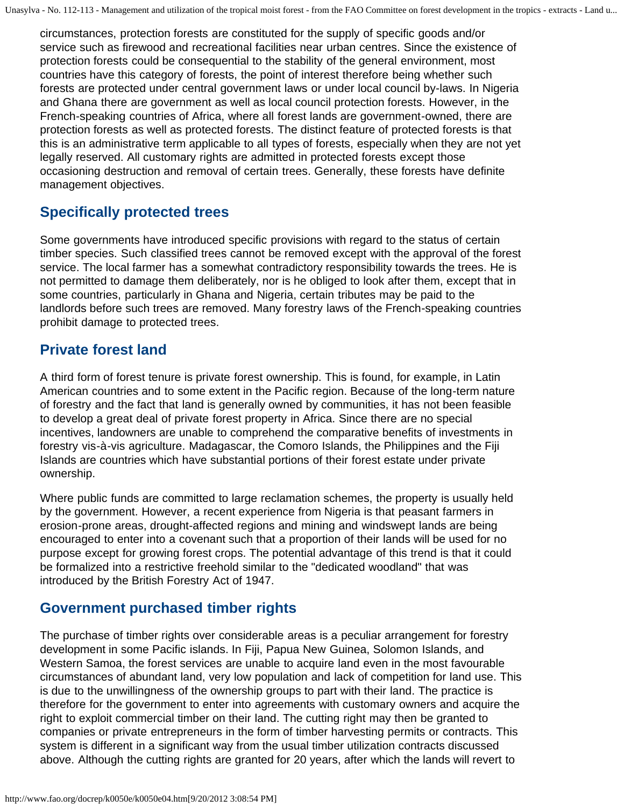circumstances, protection forests are constituted for the supply of specific goods and/or service such as firewood and recreational facilities near urban centres. Since the existence of protection forests could be consequential to the stability of the general environment, most countries have this category of forests, the point of interest therefore being whether such forests are protected under central government laws or under local council by-laws. In Nigeria and Ghana there are government as well as local council protection forests. However, in the French-speaking countries of Africa, where all forest lands are government-owned, there are protection forests as well as protected forests. The distinct feature of protected forests is that this is an administrative term applicable to all types of forests, especially when they are not yet legally reserved. All customary rights are admitted in protected forests except those occasioning destruction and removal of certain trees. Generally, these forests have definite management objectives.

# **Specifically protected trees**

Some governments have introduced specific provisions with regard to the status of certain timber species. Such classified trees cannot be removed except with the approval of the forest service. The local farmer has a somewhat contradictory responsibility towards the trees. He is not permitted to damage them deliberately, nor is he obliged to look after them, except that in some countries, particularly in Ghana and Nigeria, certain tributes may be paid to the landlords before such trees are removed. Many forestry laws of the French-speaking countries prohibit damage to protected trees.

# **Private forest land**

A third form of forest tenure is private forest ownership. This is found, for example, in Latin American countries and to some extent in the Pacific region. Because of the long-term nature of forestry and the fact that land is generally owned by communities, it has not been feasible to develop a great deal of private forest property in Africa. Since there are no special incentives, landowners are unable to comprehend the comparative benefits of investments in forestry vis-à-vis agriculture. Madagascar, the Comoro Islands, the Philippines and the Fiji Islands are countries which have substantial portions of their forest estate under private ownership.

Where public funds are committed to large reclamation schemes, the property is usually held by the government. However, a recent experience from Nigeria is that peasant farmers in erosion-prone areas, drought-affected regions and mining and windswept lands are being encouraged to enter into a covenant such that a proportion of their lands will be used for no purpose except for growing forest crops. The potential advantage of this trend is that it could be formalized into a restrictive freehold similar to the "dedicated woodland" that was introduced by the British Forestry Act of 1947.

# **Government purchased timber rights**

The purchase of timber rights over considerable areas is a peculiar arrangement for forestry development in some Pacific islands. In Fiji, Papua New Guinea, Solomon Islands, and Western Samoa, the forest services are unable to acquire land even in the most favourable circumstances of abundant land, very low population and lack of competition for land use. This is due to the unwillingness of the ownership groups to part with their land. The practice is therefore for the government to enter into agreements with customary owners and acquire the right to exploit commercial timber on their land. The cutting right may then be granted to companies or private entrepreneurs in the form of timber harvesting permits or contracts. This system is different in a significant way from the usual timber utilization contracts discussed above. Although the cutting rights are granted for 20 years, after which the lands will revert to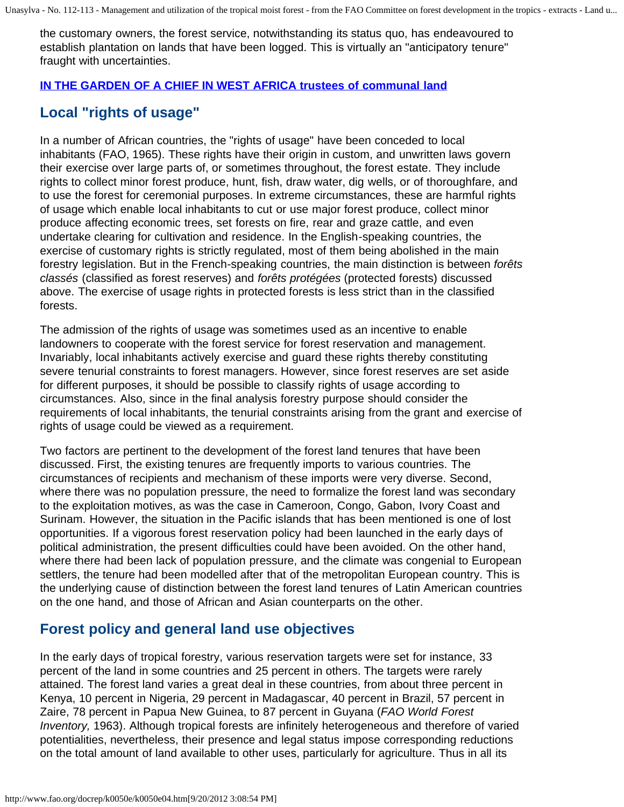the customary owners, the forest service, notwithstanding its status quo, has endeavoured to establish plantation on lands that have been logged. This is virtually an "anticipatory tenure" fraught with uncertainties.

### **[IN THE GARDEN OF A CHIEF IN WEST AFRICA trustees of communal land](http://www.fao.org/docrep/k0050e/k0050e0d.jpg)**

# **Local "rights of usage"**

In a number of African countries, the "rights of usage" have been conceded to local inhabitants (FAO, 1965). These rights have their origin in custom, and unwritten laws govern their exercise over large parts of, or sometimes throughout, the forest estate. They include rights to collect minor forest produce, hunt, fish, draw water, dig wells, or of thoroughfare, and to use the forest for ceremonial purposes. In extreme circumstances, these are harmful rights of usage which enable local inhabitants to cut or use major forest produce, collect minor produce affecting economic trees, set forests on fire, rear and graze cattle, and even undertake clearing for cultivation and residence. In the English-speaking countries, the exercise of customary rights is strictly regulated, most of them being abolished in the main forestry legislation. But in the French-speaking countries, the main distinction is between *forêts classés* (classified as forest reserves) and *forêts protégées* (protected forests) discussed above. The exercise of usage rights in protected forests is less strict than in the classified forests.

The admission of the rights of usage was sometimes used as an incentive to enable landowners to cooperate with the forest service for forest reservation and management. Invariably, local inhabitants actively exercise and guard these rights thereby constituting severe tenurial constraints to forest managers. However, since forest reserves are set aside for different purposes, it should be possible to classify rights of usage according to circumstances. Also, since in the final analysis forestry purpose should consider the requirements of local inhabitants, the tenurial constraints arising from the grant and exercise of rights of usage could be viewed as a requirement.

Two factors are pertinent to the development of the forest land tenures that have been discussed. First, the existing tenures are frequently imports to various countries. The circumstances of recipients and mechanism of these imports were very diverse. Second, where there was no population pressure, the need to formalize the forest land was secondary to the exploitation motives, as was the case in Cameroon, Congo, Gabon, Ivory Coast and Surinam. However, the situation in the Pacific islands that has been mentioned is one of lost opportunities. If a vigorous forest reservation policy had been launched in the early days of political administration, the present difficulties could have been avoided. On the other hand, where there had been lack of population pressure, and the climate was congenial to European settlers, the tenure had been modelled after that of the metropolitan European country. This is the underlying cause of distinction between the forest land tenures of Latin American countries on the one hand, and those of African and Asian counterparts on the other.

# **Forest policy and general land use objectives**

In the early days of tropical forestry, various reservation targets were set for instance, 33 percent of the land in some countries and 25 percent in others. The targets were rarely attained. The forest land varies a great deal in these countries, from about three percent in Kenya, 10 percent in Nigeria, 29 percent in Madagascar, 40 percent in Brazil, 57 percent in Zaire, 78 percent in Papua New Guinea, to 87 percent in Guyana (*FAO World Forest Inventory,* 1963). Although tropical forests are infinitely heterogeneous and therefore of varied potentialities, nevertheless, their presence and legal status impose corresponding reductions on the total amount of land available to other uses, particularly for agriculture. Thus in all its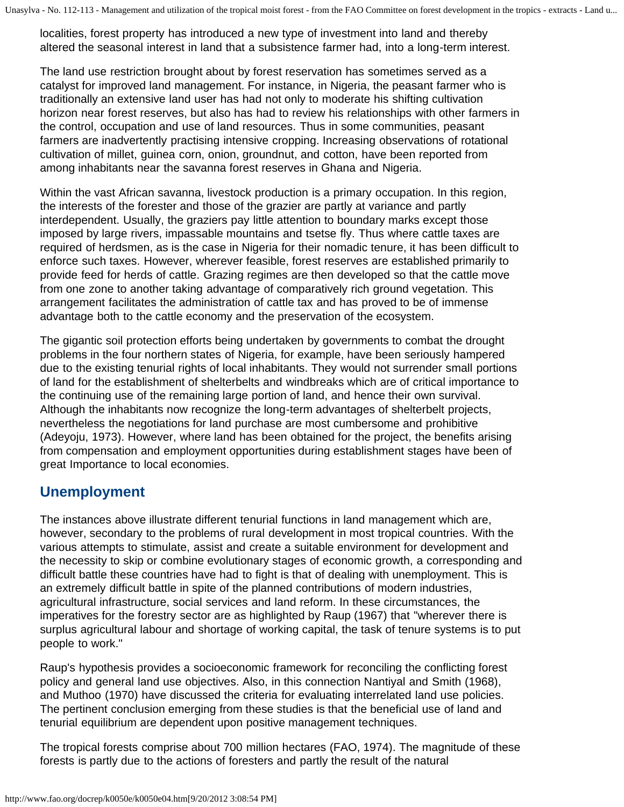localities, forest property has introduced a new type of investment into land and thereby altered the seasonal interest in land that a subsistence farmer had, into a long-term interest.

The land use restriction brought about by forest reservation has sometimes served as a catalyst for improved land management. For instance, in Nigeria, the peasant farmer who is traditionally an extensive land user has had not only to moderate his shifting cultivation horizon near forest reserves, but also has had to review his relationships with other farmers in the control, occupation and use of land resources. Thus in some communities, peasant farmers are inadvertently practising intensive cropping. Increasing observations of rotational cultivation of millet, guinea corn, onion, groundnut, and cotton, have been reported from among inhabitants near the savanna forest reserves in Ghana and Nigeria.

Within the vast African savanna, livestock production is a primary occupation. In this region, the interests of the forester and those of the grazier are partly at variance and partly interdependent. Usually, the graziers pay little attention to boundary marks except those imposed by large rivers, impassable mountains and tsetse fly. Thus where cattle taxes are required of herdsmen, as is the case in Nigeria for their nomadic tenure, it has been difficult to enforce such taxes. However, wherever feasible, forest reserves are established primarily to provide feed for herds of cattle. Grazing regimes are then developed so that the cattle move from one zone to another taking advantage of comparatively rich ground vegetation. This arrangement facilitates the administration of cattle tax and has proved to be of immense advantage both to the cattle economy and the preservation of the ecosystem.

The gigantic soil protection efforts being undertaken by governments to combat the drought problems in the four northern states of Nigeria, for example, have been seriously hampered due to the existing tenurial rights of local inhabitants. They would not surrender small portions of land for the establishment of shelterbelts and windbreaks which are of critical importance to the continuing use of the remaining large portion of land, and hence their own survival. Although the inhabitants now recognize the long-term advantages of shelterbelt projects, nevertheless the negotiations for land purchase are most cumbersome and prohibitive (Adeyoju, 1973). However, where land has been obtained for the project, the benefits arising from compensation and employment opportunities during establishment stages have been of great Importance to local economies.

# **Unemployment**

The instances above illustrate different tenurial functions in land management which are, however, secondary to the problems of rural development in most tropical countries. With the various attempts to stimulate, assist and create a suitable environment for development and the necessity to skip or combine evolutionary stages of economic growth, a corresponding and difficult battle these countries have had to fight is that of dealing with unemployment. This is an extremely difficult battle in spite of the planned contributions of modern industries, agricultural infrastructure, social services and land reform. In these circumstances, the imperatives for the forestry sector are as highlighted by Raup (1967) that "wherever there is surplus agricultural labour and shortage of working capital, the task of tenure systems is to put people to work."

Raup's hypothesis provides a socioeconomic framework for reconciling the conflicting forest policy and general land use objectives. Also, in this connection Nantiyal and Smith (1968), and Muthoo (1970) have discussed the criteria for evaluating interrelated land use policies. The pertinent conclusion emerging from these studies is that the beneficial use of land and tenurial equilibrium are dependent upon positive management techniques.

The tropical forests comprise about 700 million hectares (FAO, 1974). The magnitude of these forests is partly due to the actions of foresters and partly the result of the natural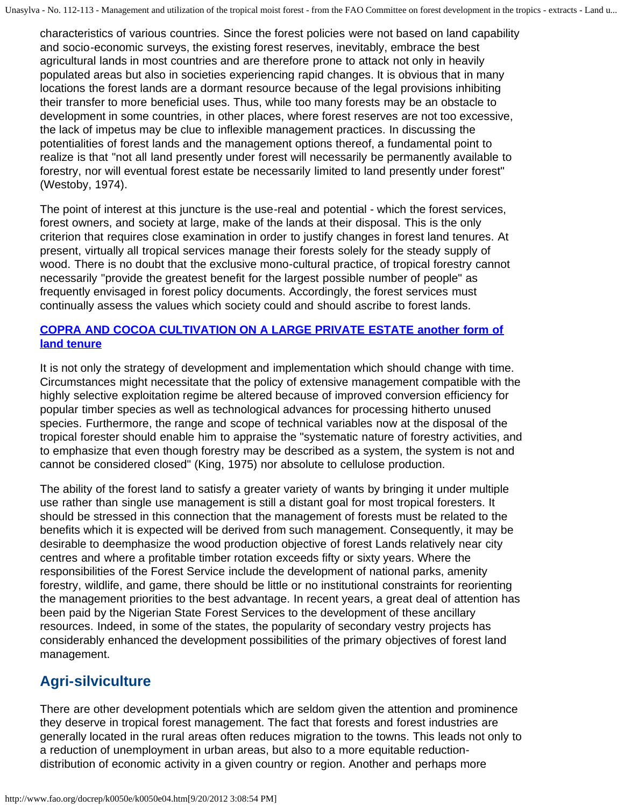characteristics of various countries. Since the forest policies were not based on land capability and socio-economic surveys, the existing forest reserves, inevitably, embrace the best agricultural lands in most countries and are therefore prone to attack not only in heavily populated areas but also in societies experiencing rapid changes. It is obvious that in many locations the forest lands are a dormant resource because of the legal provisions inhibiting their transfer to more beneficial uses. Thus, while too many forests may be an obstacle to development in some countries, in other places, where forest reserves are not too excessive, the lack of impetus may be clue to inflexible management practices. In discussing the potentialities of forest lands and the management options thereof, a fundamental point to realize is that "not all land presently under forest will necessarily be permanently available to forestry, nor will eventual forest estate be necessarily limited to land presently under forest" (Westoby, 1974).

The point of interest at this juncture is the use-real and potential - which the forest services, forest owners, and society at large, make of the lands at their disposal. This is the only criterion that requires close examination in order to justify changes in forest land tenures. At present, virtually all tropical services manage their forests solely for the steady supply of wood. There is no doubt that the exclusive mono-cultural practice, of tropical forestry cannot necessarily "provide the greatest benefit for the largest possible number of people" as frequently envisaged in forest policy documents. Accordingly, the forest services must continually assess the values which society could and should ascribe to forest lands.

### **[COPRA AND COCOA CULTIVATION ON A LARGE PRIVATE ESTATE another form of](http://www.fao.org/docrep/k0050e/k0050e0e.jpg) [land tenure](http://www.fao.org/docrep/k0050e/k0050e0e.jpg)**

It is not only the strategy of development and implementation which should change with time. Circumstances might necessitate that the policy of extensive management compatible with the highly selective exploitation regime be altered because of improved conversion efficiency for popular timber species as well as technological advances for processing hitherto unused species. Furthermore, the range and scope of technical variables now at the disposal of the tropical forester should enable him to appraise the "systematic nature of forestry activities, and to emphasize that even though forestry may be described as a system, the system is not and cannot be considered closed" (King, 1975) nor absolute to cellulose production.

The ability of the forest land to satisfy a greater variety of wants by bringing it under multiple use rather than single use management is still a distant goal for most tropical foresters. It should be stressed in this connection that the management of forests must be related to the benefits which it is expected will be derived from such management. Consequently, it may be desirable to deemphasize the wood production objective of forest Lands relatively near city centres and where a profitable timber rotation exceeds fifty or sixty years. Where the responsibilities of the Forest Service include the development of national parks, amenity forestry, wildlife, and game, there should be little or no institutional constraints for reorienting the management priorities to the best advantage. In recent years, a great deal of attention has been paid by the Nigerian State Forest Services to the development of these ancillary resources. Indeed, in some of the states, the popularity of secondary vestry projects has considerably enhanced the development possibilities of the primary objectives of forest land management.

# **Agri-silviculture**

There are other development potentials which are seldom given the attention and prominence they deserve in tropical forest management. The fact that forests and forest industries are generally located in the rural areas often reduces migration to the towns. This leads not only to a reduction of unemployment in urban areas, but also to a more equitable reductiondistribution of economic activity in a given country or region. Another and perhaps more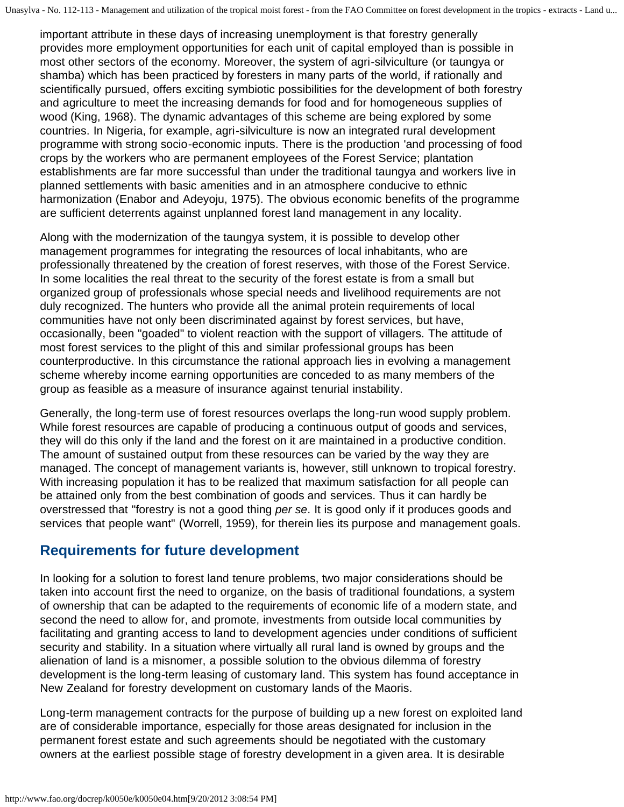important attribute in these days of increasing unemployment is that forestry generally provides more employment opportunities for each unit of capital employed than is possible in most other sectors of the economy. Moreover, the system of agri-silviculture (or taungya or shamba) which has been practiced by foresters in many parts of the world, if rationally and scientifically pursued, offers exciting symbiotic possibilities for the development of both forestry and agriculture to meet the increasing demands for food and for homogeneous supplies of wood (King, 1968). The dynamic advantages of this scheme are being explored by some countries. In Nigeria, for example, agri-silviculture is now an integrated rural development programme with strong socio-economic inputs. There is the production 'and processing of food crops by the workers who are permanent employees of the Forest Service; plantation establishments are far more successful than under the traditional taungya and workers live in planned settlements with basic amenities and in an atmosphere conducive to ethnic harmonization (Enabor and Adeyoju, 1975). The obvious economic benefits of the programme are sufficient deterrents against unplanned forest land management in any locality.

Along with the modernization of the taungya system, it is possible to develop other management programmes for integrating the resources of local inhabitants, who are professionally threatened by the creation of forest reserves, with those of the Forest Service. In some localities the real threat to the security of the forest estate is from a small but organized group of professionals whose special needs and livelihood requirements are not duly recognized. The hunters who provide all the animal protein requirements of local communities have not only been discriminated against by forest services, but have, occasionally, been "goaded" to violent reaction with the support of villagers. The attitude of most forest services to the plight of this and similar professional groups has been counterproductive. In this circumstance the rational approach lies in evolving a management scheme whereby income earning opportunities are conceded to as many members of the group as feasible as a measure of insurance against tenurial instability.

Generally, the long-term use of forest resources overlaps the long-run wood supply problem. While forest resources are capable of producing a continuous output of goods and services, they will do this only if the land and the forest on it are maintained in a productive condition. The amount of sustained output from these resources can be varied by the way they are managed. The concept of management variants is, however, still unknown to tropical forestry. With increasing population it has to be realized that maximum satisfaction for all people can be attained only from the best combination of goods and services. Thus it can hardly be overstressed that "forestry is not a good thing *per se*. It is good only if it produces goods and services that people want" (Worrell, 1959), for therein lies its purpose and management goals.

# **Requirements for future development**

In looking for a solution to forest land tenure problems, two major considerations should be taken into account first the need to organize, on the basis of traditional foundations, a system of ownership that can be adapted to the requirements of economic life of a modern state, and second the need to allow for, and promote, investments from outside local communities by facilitating and granting access to land to development agencies under conditions of sufficient security and stability. In a situation where virtually all rural land is owned by groups and the alienation of land is a misnomer, a possible solution to the obvious dilemma of forestry development is the long-term leasing of customary land. This system has found acceptance in New Zealand for forestry development on customary lands of the Maoris.

Long-term management contracts for the purpose of building up a new forest on exploited land are of considerable importance, especially for those areas designated for inclusion in the permanent forest estate and such agreements should be negotiated with the customary owners at the earliest possible stage of forestry development in a given area. It is desirable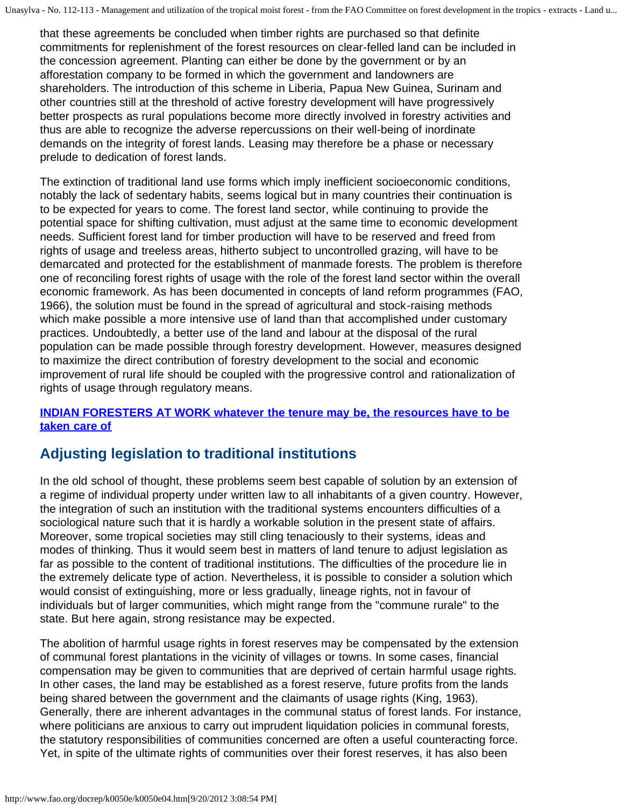that these agreements be concluded when timber rights are purchased so that definite commitments for replenishment of the forest resources on clear-felled land can be included in the concession agreement. Planting can either be done by the government or by an afforestation company to be formed in which the government and landowners are shareholders. The introduction of this scheme in Liberia, Papua New Guinea, Surinam and other countries still at the threshold of active forestry development will have progressively better prospects as rural populations become more directly involved in forestry activities and thus are able to recognize the adverse repercussions on their well-being of inordinate demands on the integrity of forest lands. Leasing may therefore be a phase or necessary prelude to dedication of forest lands.

The extinction of traditional land use forms which imply inefficient socioeconomic conditions, notably the lack of sedentary habits, seems logical but in many countries their continuation is to be expected for years to come. The forest land sector, while continuing to provide the potential space for shifting cultivation, must adjust at the same time to economic development needs. Sufficient forest land for timber production will have to be reserved and freed from rights of usage and treeless areas, hitherto subject to uncontrolled grazing, will have to be demarcated and protected for the establishment of manmade forests. The problem is therefore one of reconciling forest rights of usage with the role of the forest land sector within the overall economic framework. As has been documented in concepts of land reform programmes (FAO, 1966), the solution must be found in the spread of agricultural and stock-raising methods which make possible a more intensive use of land than that accomplished under customary practices. Undoubtedly, a better use of the land and labour at the disposal of the rural population can be made possible through forestry development. However, measures designed to maximize the direct contribution of forestry development to the social and economic improvement of rural life should be coupled with the progressive control and rationalization of rights of usage through regulatory means.

### **[INDIAN FORESTERS AT WORK whatever the tenure may be, the resources have to be](http://www.fao.org/docrep/k0050e/k0050e0f.jpg) [taken care of](http://www.fao.org/docrep/k0050e/k0050e0f.jpg)**

# **Adjusting legislation to traditional institutions**

In the old school of thought, these problems seem best capable of solution by an extension of a regime of individual property under written law to all inhabitants of a given country. However, the integration of such an institution with the traditional systems encounters difficulties of a sociological nature such that it is hardly a workable solution in the present state of affairs. Moreover, some tropical societies may still cling tenaciously to their systems, ideas and modes of thinking. Thus it would seem best in matters of land tenure to adjust legislation as far as possible to the content of traditional institutions. The difficulties of the procedure lie in the extremely delicate type of action. Nevertheless, it is possible to consider a solution which would consist of extinguishing, more or less gradually, lineage rights, not in favour of individuals but of larger communities, which might range from the "commune rurale" to the state. But here again, strong resistance may be expected.

The abolition of harmful usage rights in forest reserves may be compensated by the extension of communal forest plantations in the vicinity of villages or towns. In some cases, financial compensation may be given to communities that are deprived of certain harmful usage rights. In other cases, the land may be established as a forest reserve, future profits from the lands being shared between the government and the claimants of usage rights (King, 1963). Generally, there are inherent advantages in the communal status of forest lands. For instance, where politicians are anxious to carry out imprudent liquidation policies in communal forests, the statutory responsibilities of communities concerned are often a useful counteracting force. Yet, in spite of the ultimate rights of communities over their forest reserves, it has also been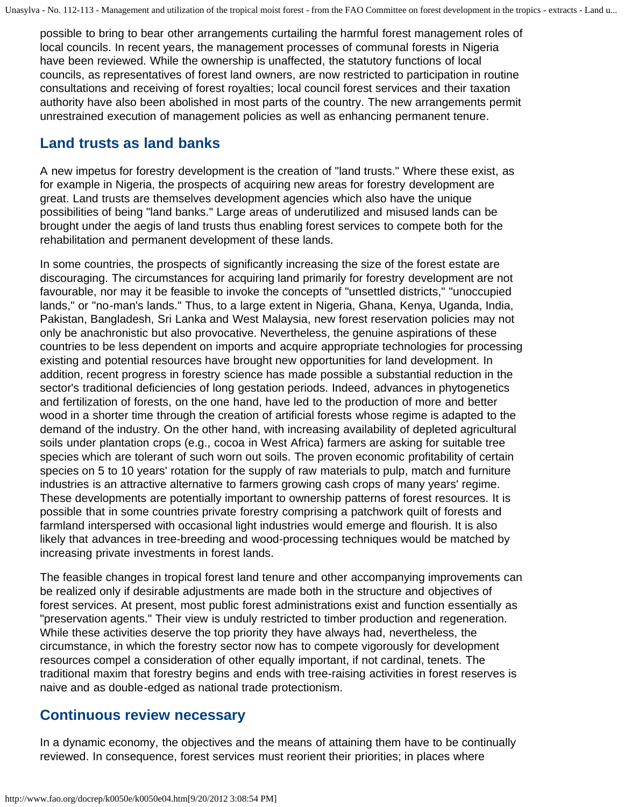possible to bring to bear other arrangements curtailing the harmful forest management roles of local councils. In recent years, the management processes of communal forests in Nigeria have been reviewed. While the ownership is unaffected, the statutory functions of local councils, as representatives of forest land owners, are now restricted to participation in routine consultations and receiving of forest royalties; local council forest services and their taxation authority have also been abolished in most parts of the country. The new arrangements permit unrestrained execution of management policies as well as enhancing permanent tenure.

### **Land trusts as land banks**

A new impetus for forestry development is the creation of "land trusts." Where these exist, as for example in Nigeria, the prospects of acquiring new areas for forestry development are great. Land trusts are themselves development agencies which also have the unique possibilities of being "land banks." Large areas of underutilized and misused lands can be brought under the aegis of land trusts thus enabling forest services to compete both for the rehabilitation and permanent development of these lands.

In some countries, the prospects of significantly increasing the size of the forest estate are discouraging. The circumstances for acquiring land primarily for forestry development are not favourable, nor may it be feasible to invoke the concepts of "unsettled districts," "unoccupied lands," or "no-man's lands." Thus, to a large extent in Nigeria, Ghana, Kenya, Uganda, India, Pakistan, Bangladesh, Sri Lanka and West Malaysia, new forest reservation policies may not only be anachronistic but also provocative. Nevertheless, the genuine aspirations of these countries to be less dependent on imports and acquire appropriate technologies for processing existing and potential resources have brought new opportunities for land development. In addition, recent progress in forestry science has made possible a substantial reduction in the sector's traditional deficiencies of long gestation periods. Indeed, advances in phytogenetics and fertilization of forests, on the one hand, have led to the production of more and better wood in a shorter time through the creation of artificial forests whose regime is adapted to the demand of the industry. On the other hand, with increasing availability of depleted agricultural soils under plantation crops (e.g., cocoa in West Africa) farmers are asking for suitable tree species which are tolerant of such worn out soils. The proven economic profitability of certain species on 5 to 10 years' rotation for the supply of raw materials to pulp, match and furniture industries is an attractive alternative to farmers growing cash crops of many years' regime. These developments are potentially important to ownership patterns of forest resources. It is possible that in some countries private forestry comprising a patchwork quilt of forests and farmland interspersed with occasional light industries would emerge and flourish. It is also likely that advances in tree-breeding and wood-processing techniques would be matched by increasing private investments in forest lands.

The feasible changes in tropical forest land tenure and other accompanying improvements can be realized only if desirable adjustments are made both in the structure and objectives of forest services. At present, most public forest administrations exist and function essentially as "preservation agents." Their view is unduly restricted to timber production and regeneration. While these activities deserve the top priority they have always had, nevertheless, the circumstance, in which the forestry sector now has to compete vigorously for development resources compel a consideration of other equally important, if not cardinal, tenets. The traditional maxim that forestry begins and ends with tree-raising activities in forest reserves is naive and as double-edged as national trade protectionism.

### **Continuous review necessary**

In a dynamic economy, the objectives and the means of attaining them have to be continually reviewed. In consequence, forest services must reorient their priorities; in places where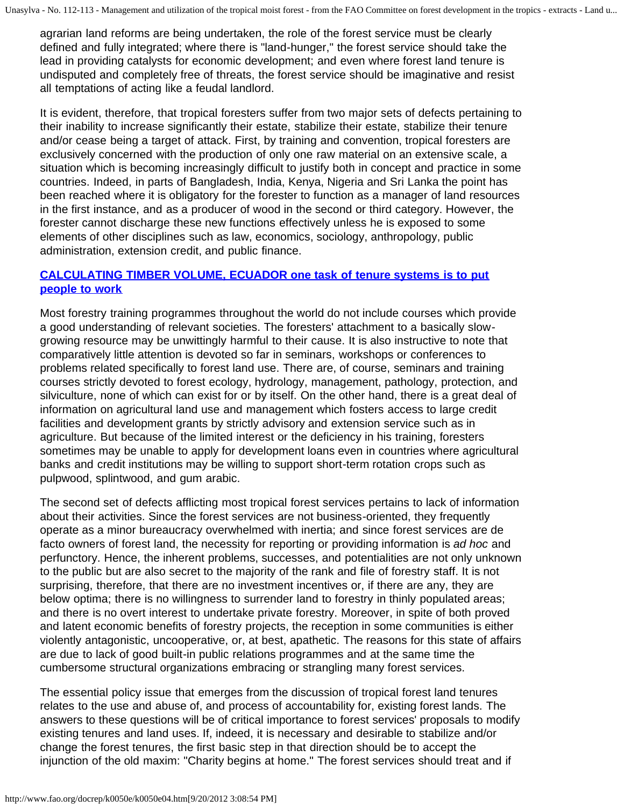agrarian land reforms are being undertaken, the role of the forest service must be clearly defined and fully integrated; where there is "land-hunger," the forest service should take the lead in providing catalysts for economic development; and even where forest land tenure is undisputed and completely free of threats, the forest service should be imaginative and resist all temptations of acting like a feudal landlord.

It is evident, therefore, that tropical foresters suffer from two major sets of defects pertaining to their inability to increase significantly their estate, stabilize their estate, stabilize their tenure and/or cease being a target of attack. First, by training and convention, tropical foresters are exclusively concerned with the production of only one raw material on an extensive scale, a situation which is becoming increasingly difficult to justify both in concept and practice in some countries. Indeed, in parts of Bangladesh, India, Kenya, Nigeria and Sri Lanka the point has been reached where it is obligatory for the forester to function as a manager of land resources in the first instance, and as a producer of wood in the second or third category. However, the forester cannot discharge these new functions effectively unless he is exposed to some elements of other disciplines such as law, economics, sociology, anthropology, public administration, extension credit, and public finance.

### **[CALCULATING TIMBER VOLUME, ECUADOR one task of tenure systems is to put](http://www.fao.org/docrep/k0050e/k0050e0g.jpg) [people to work](http://www.fao.org/docrep/k0050e/k0050e0g.jpg)**

Most forestry training programmes throughout the world do not include courses which provide a good understanding of relevant societies. The foresters' attachment to a basically slowgrowing resource may be unwittingly harmful to their cause. It is also instructive to note that comparatively little attention is devoted so far in seminars, workshops or conferences to problems related specifically to forest land use. There are, of course, seminars and training courses strictly devoted to forest ecology, hydrology, management, pathology, protection, and silviculture, none of which can exist for or by itself. On the other hand, there is a great deal of information on agricultural land use and management which fosters access to large credit facilities and development grants by strictly advisory and extension service such as in agriculture. But because of the limited interest or the deficiency in his training, foresters sometimes may be unable to apply for development loans even in countries where agricultural banks and credit institutions may be willing to support short-term rotation crops such as pulpwood, splintwood, and gum arabic.

The second set of defects afflicting most tropical forest services pertains to lack of information about their activities. Since the forest services are not business-oriented, they frequently operate as a minor bureaucracy overwhelmed with inertia; and since forest services are de facto owners of forest land, the necessity for reporting or providing information is *ad hoc* and perfunctory. Hence, the inherent problems, successes, and potentialities are not only unknown to the public but are also secret to the majority of the rank and file of forestry staff. It is not surprising, therefore, that there are no investment incentives or, if there are any, they are below optima; there is no willingness to surrender land to forestry in thinly populated areas; and there is no overt interest to undertake private forestry. Moreover, in spite of both proved and latent economic benefits of forestry projects, the reception in some communities is either violently antagonistic, uncooperative, or, at best, apathetic. The reasons for this state of affairs are due to lack of good built-in public relations programmes and at the same time the cumbersome structural organizations embracing or strangling many forest services.

The essential policy issue that emerges from the discussion of tropical forest land tenures relates to the use and abuse of, and process of accountability for, existing forest lands. The answers to these questions will be of critical importance to forest services' proposals to modify existing tenures and land uses. If, indeed, it is necessary and desirable to stabilize and/or change the forest tenures, the first basic step in that direction should be to accept the injunction of the old maxim: "Charity begins at home." The forest services should treat and if